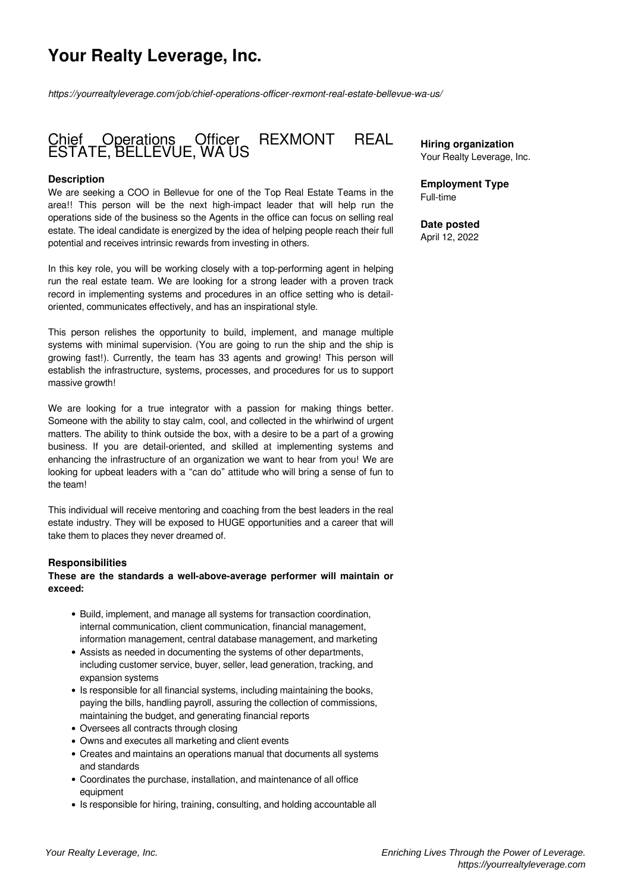# **Your Realty Leverage, Inc.**

*https://yourrealtyleverage.com/job/chief-operations-officer-rexmont-real-estate-bellevue-wa-us/*

# Chief Operations Officer REXMONT REAL ESTATE, BELLEVUE, WA US

# **Description**

We are seeking a COO in Bellevue for one of the Top Real Estate Teams in the area!! This person will be the next high-impact leader that will help run the operations side of the business so the Agents in the office can focus on selling real estate. The ideal candidate is energized by the idea of helping people reach their full potential and receives intrinsic rewards from investing in others.

In this key role, you will be working closely with a top-performing agent in helping run the real estate team. We are looking for a strong leader with a proven track record in implementing systems and procedures in an office setting who is detailoriented, communicates effectively, and has an inspirational style.

This person relishes the opportunity to build, implement, and manage multiple systems with minimal supervision. (You are going to run the ship and the ship is growing fast!). Currently, the team has 33 agents and growing! This person will establish the infrastructure, systems, processes, and procedures for us to support massive growth!

We are looking for a true integrator with a passion for making things better. Someone with the ability to stay calm, cool, and collected in the whirlwind of urgent matters. The ability to think outside the box, with a desire to be a part of a growing business. If you are detail-oriented, and skilled at implementing systems and enhancing the infrastructure of an organization we want to hear from you! We are looking for upbeat leaders with a "can do" attitude who will bring a sense of fun to the team!

This individual will receive mentoring and coaching from the best leaders in the real estate industry. They will be exposed to HUGE opportunities and a career that will take them to places they never dreamed of.

#### **Responsibilities**

#### **These are the standards a well-above-average performer will maintain or exceed:**

- Build, implement, and manage all systems for transaction coordination, internal communication, client communication, financial management, information management, central database management, and marketing
- Assists as needed in documenting the systems of other departments, including customer service, buyer, seller, lead generation, tracking, and expansion systems
- Is responsible for all financial systems, including maintaining the books, paying the bills, handling payroll, assuring the collection of commissions, maintaining the budget, and generating financial reports
- Oversees all contracts through closing
- Owns and executes all marketing and client events
- Creates and maintains an operations manual that documents all systems and standards
- Coordinates the purchase, installation, and maintenance of all office equipment
- Is responsible for hiring, training, consulting, and holding accountable all

**Hiring organization** Your Realty Leverage, Inc.

**Employment Type** Full-time

**Date posted** April 12, 2022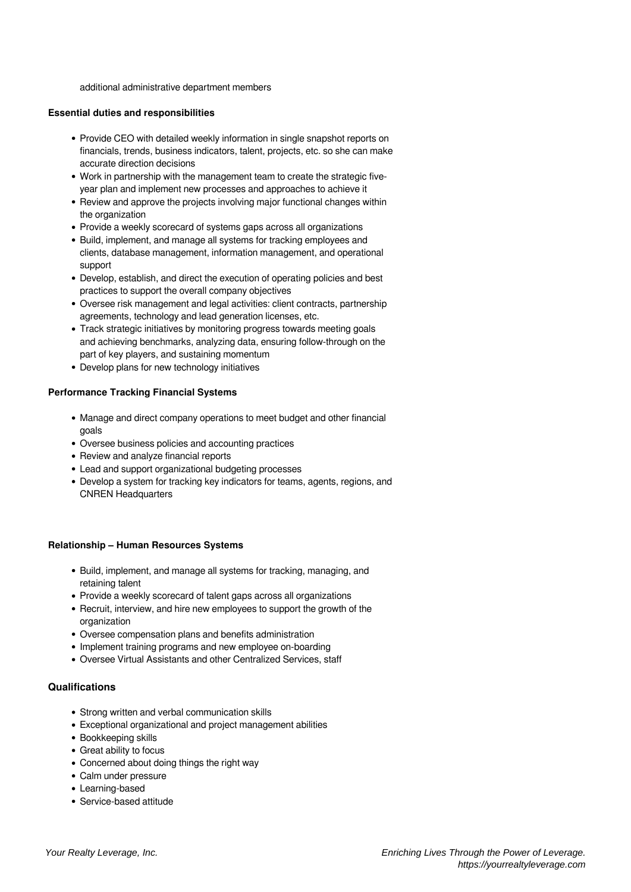additional administrative department members

#### **Essential duties and responsibilities**

- Provide CEO with detailed weekly information in single snapshot reports on financials, trends, business indicators, talent, projects, etc. so she can make accurate direction decisions
- Work in partnership with the management team to create the strategic fiveyear plan and implement new processes and approaches to achieve it
- Review and approve the projects involving major functional changes within the organization
- Provide a weekly scorecard of systems gaps across all organizations
- Build, implement, and manage all systems for tracking employees and clients, database management, information management, and operational support
- Develop, establish, and direct the execution of operating policies and best practices to support the overall company objectives
- Oversee risk management and legal activities: client contracts, partnership agreements, technology and lead generation licenses, etc.
- Track strategic initiatives by monitoring progress towards meeting goals and achieving benchmarks, analyzing data, ensuring follow-through on the part of key players, and sustaining momentum
- Develop plans for new technology initiatives

# **Performance Tracking Financial Systems**

- Manage and direct company operations to meet budget and other financial goals
- Oversee business policies and accounting practices
- Review and analyze financial reports
- Lead and support organizational budgeting processes
- Develop a system for tracking key indicators for teams, agents, regions, and CNREN Headquarters

# **Relationship – Human Resources Systems**

- Build, implement, and manage all systems for tracking, managing, and retaining talent
- Provide a weekly scorecard of talent gaps across all organizations
- Recruit, interview, and hire new employees to support the growth of the organization
- Oversee compensation plans and benefits administration
- Implement training programs and new employee on-boarding
- Oversee Virtual Assistants and other Centralized Services, staff

# **Qualifications**

- Strong written and verbal communication skills
- Exceptional organizational and project management abilities
- Bookkeeping skills
- Great ability to focus
- Concerned about doing things the right way
- Calm under pressure
- Learning-based
- Service-based attitude